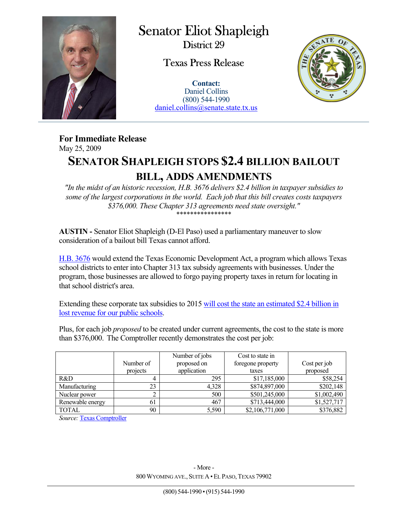

Senator Eliot Shapleigh District 29

Texas Press Release

**Contact:** Daniel Collins (800) 544-1990 daniel.collins@senate.state.tx.us



**For Immediate Release**  May 25, 2009

## **SENATOR SHAPLEIGH STOPS \$2.4 BILLION BAILOUT**

## **BILL, ADDS AMENDMENTS**

*"In the midst of an historic recession, H.B. 3676 delivers \$2.4 billion in taxpayer subsidies to some of the largest corporations in the world. Each job that this bill creates costs taxpayers \$376,000. These Chapter 313 agreements need state oversight."*  \*\*\*\*\*\*\*\*\*\*\*\*\*\*\*\*

**AUSTIN -** Senator Eliot Shapleigh (D-El Paso) used a parliamentary maneuver to slow consideration of a bailout bill Texas cannot afford.

H.B. 3676 would extend the Texas Economic Development Act, a program which allows Texas school districts to enter into Chapter 313 tax subsidy agreements with businesses. Under the program, those businesses are allowed to forgo paying property taxes in return for locating in that school district's area.

Extending these corporate tax subsidies to 2015 will cost the state an estimated \$2.4 billion in lost revenue for our public schools.

Plus, for each job *proposed* to be created under current agreements, the cost to the state is more than \$376,000. The Comptroller recently demonstrates the cost per job:

|                  | Number of | Number of jobs<br>proposed on | Cost to state in<br>foregone property | Cost per job |
|------------------|-----------|-------------------------------|---------------------------------------|--------------|
|                  | projects  | application                   | taxes                                 | proposed     |
| R&D              |           | 295                           | \$17,185,000                          | \$58,254     |
| Manufacturing    | 23        | 4,328                         | \$874,897,000                         | \$202,148    |
| Nuclear power    |           | 500                           | \$501,245,000                         | \$1,002,490  |
| Renewable energy | 61        | 467                           | \$713,444,000                         | \$1,527,717  |
| <b>TOTAL</b>     | 90        | 5,590                         | \$2,106,771,000                       | \$376,882    |

*Source:* Texas Comptroller

 $\overline{a}$